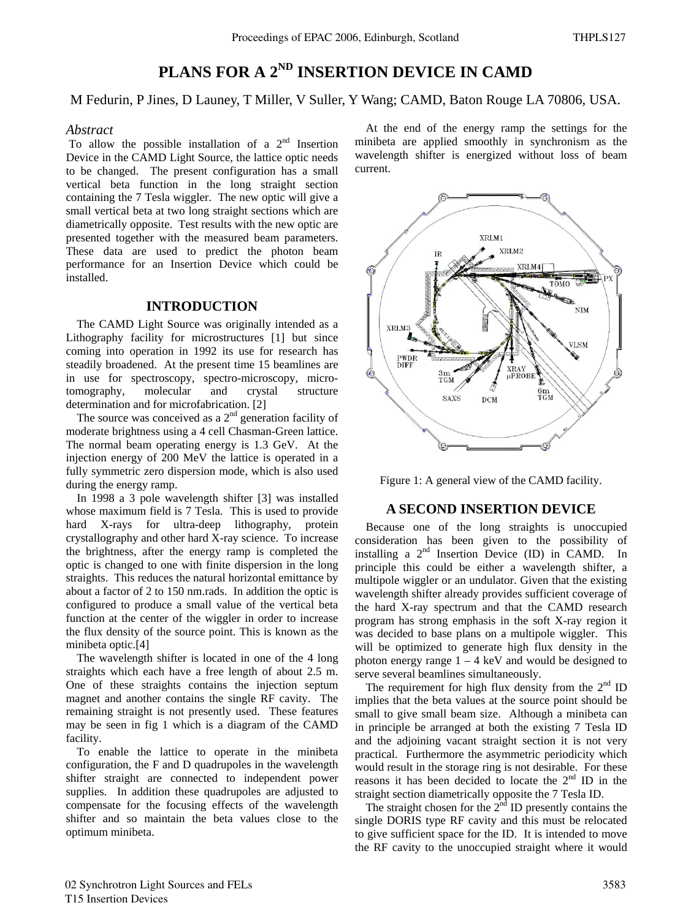# **PLANS FOR A 2ND INSERTION DEVICE IN CAMD**

M Fedurin, P Jines, D Launey, T Miller, V Suller, Y Wang; CAMD, Baton Rouge LA 70806, USA.

#### *Abstract*

To allow the possible installation of a  $2<sup>nd</sup>$  Insertion Device in the CAMD Light Source, the lattice optic needs to be changed. The present configuration has a small vertical beta function in the long straight section containing the 7 Tesla wiggler. The new optic will give a small vertical beta at two long straight sections which are diametrically opposite. Test results with the new optic are presented together with the measured beam parameters. These data are used to predict the photon beam performance for an Insertion Device which could be installed.

## **INTRODUCTION**

The CAMD Light Source was originally intended as a Lithography facility for microstructures [1] but since coming into operation in 1992 its use for research has steadily broadened. At the present time 15 beamlines are in use for spectroscopy, spectro-microscopy, microtomography, molecular and crystal structure determination and for microfabrication. [2]

The source was conceived as a  $2<sup>nd</sup>$  generation facility of moderate brightness using a 4 cell Chasman-Green lattice. The normal beam operating energy is 1.3 GeV. At the injection energy of 200 MeV the lattice is operated in a fully symmetric zero dispersion mode, which is also used during the energy ramp.

In 1998 a 3 pole wavelength shifter [3] was installed whose maximum field is 7 Tesla. This is used to provide hard X-rays for ultra-deep lithography, protein crystallography and other hard X-ray science. To increase the brightness, after the energy ramp is completed the optic is changed to one with finite dispersion in the long straights. This reduces the natural horizontal emittance by about a factor of 2 to 150 nm.rads. In addition the optic is configured to produce a small value of the vertical beta function at the center of the wiggler in order to increase the flux density of the source point. This is known as the minibeta optic.[4]

The wavelength shifter is located in one of the 4 long straights which each have a free length of about 2.5 m. One of these straights contains the injection septum magnet and another contains the single RF cavity. The remaining straight is not presently used. These features may be seen in fig 1 which is a diagram of the CAMD facility.

To enable the lattice to operate in the minibeta configuration, the F and D quadrupoles in the wavelength shifter straight are connected to independent power supplies. In addition these quadrupoles are adjusted to compensate for the focusing effects of the wavelength shifter and so maintain the beta values close to the optimum minibeta.

At the end of the energy ramp the settings for the minibeta are applied smoothly in synchronism as the wavelength shifter is energized without loss of beam current.



Figure 1: A general view of the CAMD facility.

## **A SECOND INSERTION DEVICE**

Because one of the long straights is unoccupied consideration has been given to the possibility of installing a  $2<sup>nd</sup>$  Insertion Device (ID) in CAMD. In principle this could be either a wavelength shifter, a multipole wiggler or an undulator. Given that the existing wavelength shifter already provides sufficient coverage of the hard X-ray spectrum and that the CAMD research program has strong emphasis in the soft X-ray region it was decided to base plans on a multipole wiggler. This will be optimized to generate high flux density in the photon energy range  $1 - 4$  keV and would be designed to serve several beamlines simultaneously.

The requirement for high flux density from the  $2<sup>nd</sup>$  ID implies that the beta values at the source point should be small to give small beam size. Although a minibeta can in principle be arranged at both the existing 7 Tesla ID and the adjoining vacant straight section it is not very practical. Furthermore the asymmetric periodicity which would result in the storage ring is not desirable. For these reasons it has been decided to locate the 2<sup>nd</sup> ID in the straight section diametrically opposite the 7 Tesla ID.

The straight chosen for the  $2<sup>nd</sup>$  ID presently contains the single DORIS type RF cavity and this must be relocated to give sufficient space for the ID. It is intended to move the RF cavity to the unoccupied straight where it would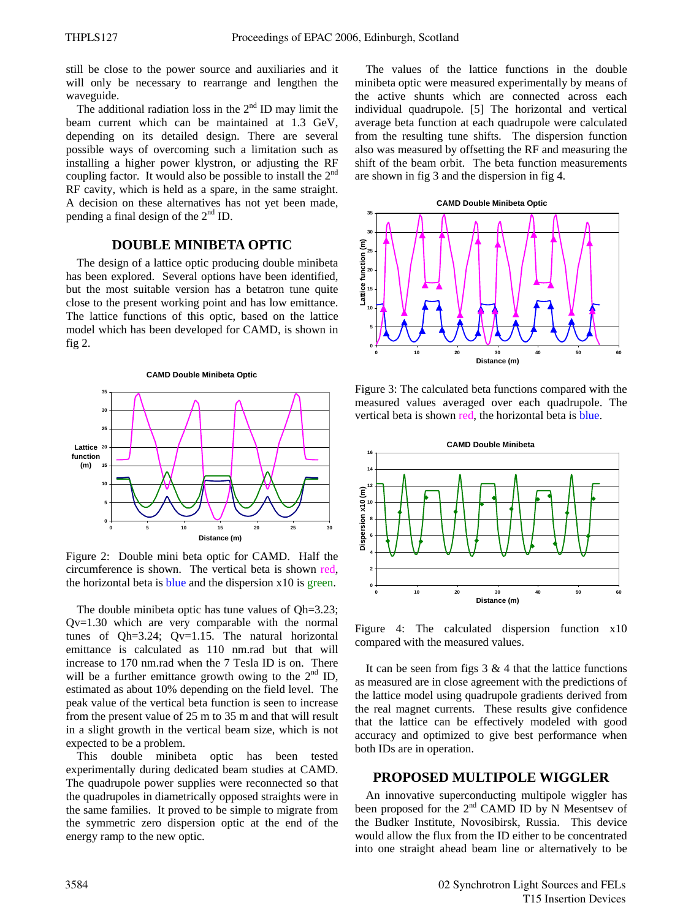still be close to the power source and auxiliaries and it will only be necessary to rearrange and lengthen the waveguide.

The additional radiation loss in the  $2<sup>nd</sup>$  ID may limit the beam current which can be maintained at 1.3 GeV, depending on its detailed design. There are several possible ways of overcoming such a limitation such as installing a higher power klystron, or adjusting the RF coupling factor. It would also be possible to install the 2<sup>nd</sup> RF cavity, which is held as a spare, in the same straight. A decision on these alternatives has not yet been made, pending a final design of the  $2<sup>nd</sup>$  ID.

## **DOUBLE MINIBETA OPTIC**

The design of a lattice optic producing double minibeta has been explored. Several options have been identified, but the most suitable version has a betatron tune quite close to the present working point and has low emittance. The lattice functions of this optic, based on the lattice model which has been developed for CAMD, is shown in fig 2.





Figure 2: Double mini beta optic for CAMD. Half the circumference is shown. The vertical beta is shown red, the horizontal beta is **blue** and the dispersion  $x10$  is green.

The double minibeta optic has tune values of Qh=3.23; Qv=1.30 which are very comparable with the normal tunes of Qh=3.24; Qv=1.15. The natural horizontal emittance is calculated as 110 nm.rad but that will increase to 170 nm.rad when the 7 Tesla ID is on. There will be a further emittance growth owing to the  $2<sup>nd</sup>$  ID, estimated as about 10% depending on the field level. The peak value of the vertical beta function is seen to increase from the present value of 25 m to 35 m and that will result in a slight growth in the vertical beam size, which is not expected to be a problem.

This double minibeta optic has been tested experimentally during dedicated beam studies at CAMD. The quadrupole power supplies were reconnected so that the quadrupoles in diametrically opposed straights were in the same families. It proved to be simple to migrate from the symmetric zero dispersion optic at the end of the energy ramp to the new optic.

The values of the lattice functions in the double minibeta optic were measured experimentally by means of the active shunts which are connected across each individual quadrupole. [5] The horizontal and vertical average beta function at each quadrupole were calculated from the resulting tune shifts. The dispersion function also was measured by offsetting the RF and measuring the shift of the beam orbit. The beta function measurements are shown in fig 3 and the dispersion in fig 4.



Figure 3: The calculated beta functions compared with the measured values averaged over each quadrupole. The vertical beta is shown red, the horizontal beta is blue.



Figure 4: The calculated dispersion function x10 compared with the measured values.

It can be seen from figs  $3 \& 4$  that the lattice functions as measured are in close agreement with the predictions of the lattice model using quadrupole gradients derived from the real magnet currents. These results give confidence that the lattice can be effectively modeled with good accuracy and optimized to give best performance when both IDs are in operation.

#### **PROPOSED MULTIPOLE WIGGLER**

An innovative superconducting multipole wiggler has been proposed for the 2<sup>nd</sup> CAMD ID by N Mesentsev of the Budker Institute, Novosibirsk, Russia. This device would allow the flux from the ID either to be concentrated into one straight ahead beam line or alternatively to be